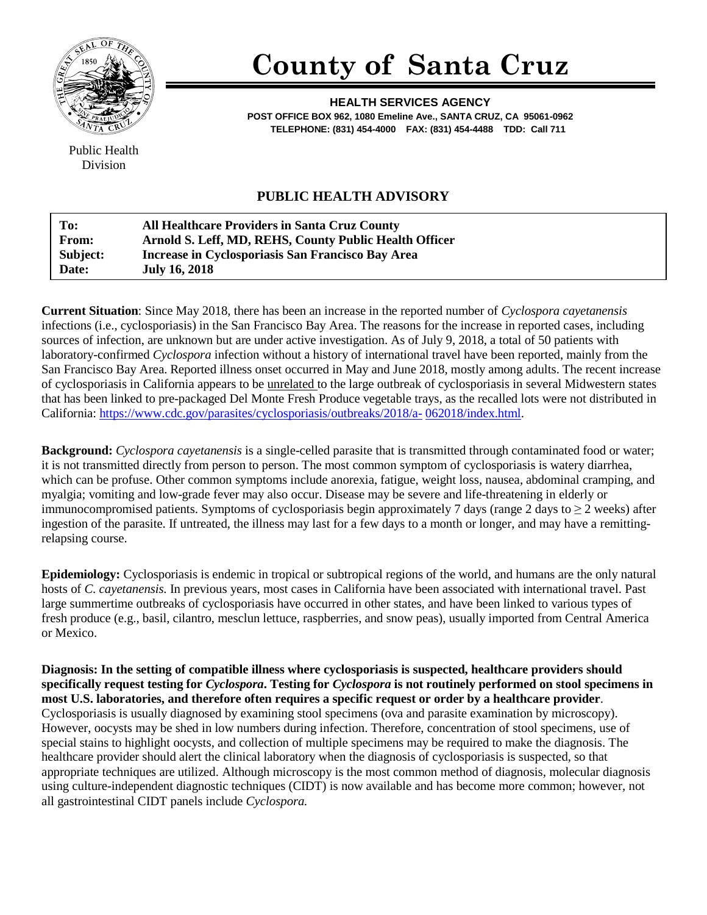

## **County of Santa Cruz**

**HEALTH SERVICES AGENCY POST OFFICE BOX 962, 1080 Emeline Ave., SANTA CRUZ, CA 95061-0962 TELEPHONE: (831) 454-4000 FAX: (831) 454-4488 TDD: Call 711**

Public Health Division

## **PUBLIC HEALTH ADVISORY**

| To:          | <b>All Healthcare Providers in Santa Cruz County</b>   |
|--------------|--------------------------------------------------------|
| <b>From:</b> | Arnold S. Leff, MD, REHS, County Public Health Officer |
| Subject:     | Increase in Cyclosporiasis San Francisco Bay Area      |
| Date:        | <b>July 16, 2018</b>                                   |

**Current Situation**: Since May 2018, there has been an increase in the reported number of *Cyclospora cayetanensis*  infections (i.e., cyclosporiasis) in the San Francisco Bay Area. The reasons for the increase in reported cases, including sources of infection, are unknown but are under active investigation. As of July 9, 2018, a total of 50 patients with laboratory-confirmed *Cyclospora* infection without a history of international travel have been reported, mainly from the San Francisco Bay Area. Reported illness onset occurred in May and June 2018, mostly among adults. The recent increase of cyclosporiasis in California appears to be unrelated to the large outbreak of cyclosporiasis in several Midwestern states that has been linked to pre-packaged Del Monte Fresh Produce vegetable trays, as the recalled lots were not distributed in California: [https://www.cdc.gov/parasites/cyclosporiasis/outbreaks/2018/a-](https://www.cdc.gov/parasites/cyclosporiasis/outbreaks/2018/a-062018/index.html) [062018/index.html.](https://www.cdc.gov/parasites/cyclosporiasis/outbreaks/2018/a-062018/index.html)

**Background:** *Cyclospora cayetanensis* is a single-celled parasite that is transmitted through contaminated food or water; it is not transmitted directly from person to person. The most common symptom of cyclosporiasis is watery diarrhea, which can be profuse. Other common symptoms include anorexia, fatigue, weight loss, nausea, abdominal cramping, and myalgia; vomiting and low-grade fever may also occur. Disease may be severe and life-threatening in elderly or immunocompromised patients. Symptoms of cyclosporiasis begin approximately 7 days (range 2 days to  $\geq 2$  weeks) after ingestion of the parasite. If untreated, the illness may last for a few days to a month or longer, and may have a remittingrelapsing course.

**Epidemiology:** Cyclosporiasis is endemic in tropical or subtropical regions of the world, and humans are the only natural hosts of *C. cayetanensis.* In previous years, most cases in California have been associated with international travel. Past large summertime outbreaks of cyclosporiasis have occurred in other states, and have been linked to various types of fresh produce (e.g., basil, cilantro, mesclun lettuce, raspberries, and snow peas), usually imported from Central America or Mexico.

**Diagnosis: In the setting of compatible illness where cyclosporiasis is suspected, healthcare providers should specifically request testing for** *Cyclospora***. Testing for** *Cyclospora* **is not routinely performed on stool specimens in most U.S. laboratories, and therefore often requires a specific request or order by a healthcare provider**. Cyclosporiasis is usually diagnosed by examining stool specimens (ova and parasite examination by microscopy). However, oocysts may be shed in low numbers during infection. Therefore, concentration of stool specimens, use of special stains to highlight oocysts, and collection of multiple specimens may be required to make the diagnosis. The healthcare provider should alert the clinical laboratory when the diagnosis of cyclosporiasis is suspected, so that appropriate techniques are utilized. Although microscopy is the most common method of diagnosis, molecular diagnosis using culture-independent diagnostic techniques (CIDT) is now available and has become more common; however, not all gastrointestinal CIDT panels include *Cyclospora.*